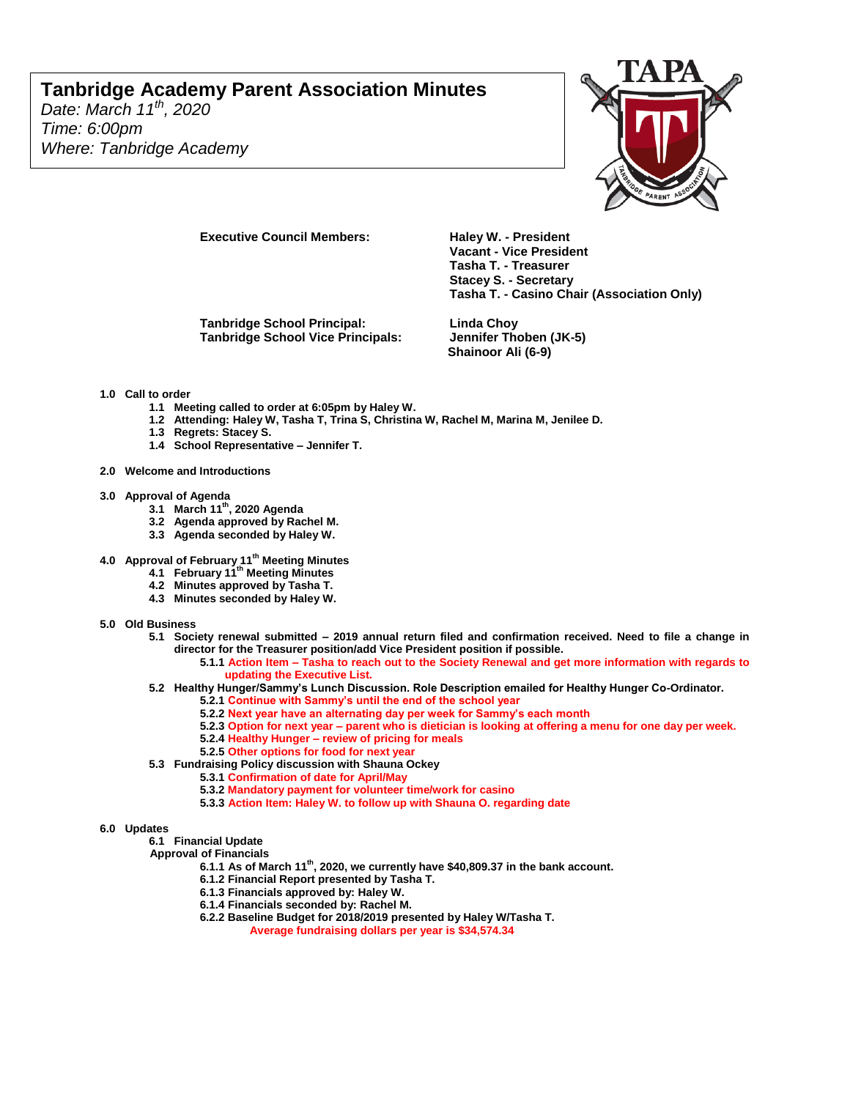# **Tanbridge Academy Parent Association Minutes**

*Date: March 11th, 2020 Time: 6:00pm Where: Tanbridge Academy*



**Executive Council Members: Haley W. - President** 

**Tanbridge School Principal: Linda Choy Tanbridge School Vice Principals:** 

**Vacant - Vice President Tasha T. - Treasurer Stacey S. - Secretary Tasha T. - Casino Chair (Association Only)**

**Shainoor Ali (6-9)**

#### **1.0 Call to order**

- **1.1 Meeting called to order at 6:05pm by Haley W.**
- **1.2 Attending: Haley W, Tasha T, Trina S, Christina W, Rachel M, Marina M, Jenilee D.**
- **1.3 Regrets: Stacey S.**
- **1.4 School Representative – Jennifer T.**
- **2.0 Welcome and Introductions**
- **3.0 Approval of Agenda** 
	- **3.1 March 11th, 2020 Agenda**
	- **3.2 Agenda approved by Rachel M.**
	- **3.3 Agenda seconded by Haley W.**
- **4.0 Approval of February 11th Meeting Minutes**
	- **4.1 February 11th Meeting Minutes**
	- **4.2 Minutes approved by Tasha T.**
	- **4.3 Minutes seconded by Haley W.**
- **5.0 Old Business** 
	- **5.1 Society renewal submitted – 2019 annual return filed and confirmation received. Need to file a change in director for the Treasurer position/add Vice President position if possible.**
		- **5.1.1 Action Item – Tasha to reach out to the Society Renewal and get more information with regards to updating the Executive List.**
	- **5.2 Healthy Hunger/Sammy's Lunch Discussion. Role Description emailed for Healthy Hunger Co-Ordinator.**
		- **5.2.1 Continue with Sammy's until the end of the school year**
		- **5.2.2 Next year have an alternating day per week for Sammy's each month**
		- **5.2.3 Option for next year – parent who is dietician is looking at offering a menu for one day per week.**
		- **5.2.4 Healthy Hunger – review of pricing for meals**
		- **5.2.5 Other options for food for next year**
	- **5.3 Fundraising Policy discussion with Shauna Ockey** 
		- **5.3.1 Confirmation of date for April/May**
		- **5.3.2 Mandatory payment for volunteer time/work for casino**
		- **5.3.3 Action Item: Haley W. to follow up with Shauna O. regarding date**

**6.0 Updates** 

**6.1 Financial Update**

- **Approval of Financials**
	- **6.1.1 As of March 11th, 2020, we currently have \$40,809.37 in the bank account.**
	- **6.1.2 Financial Report presented by Tasha T.**
	- **6.1.3 Financials approved by: Haley W.**
	- **6.1.4 Financials seconded by: Rachel M.**
	- **6.2.2 Baseline Budget for 2018/2019 presented by Haley W/Tasha T.**
		- **Average fundraising dollars per year is \$34,574.34**